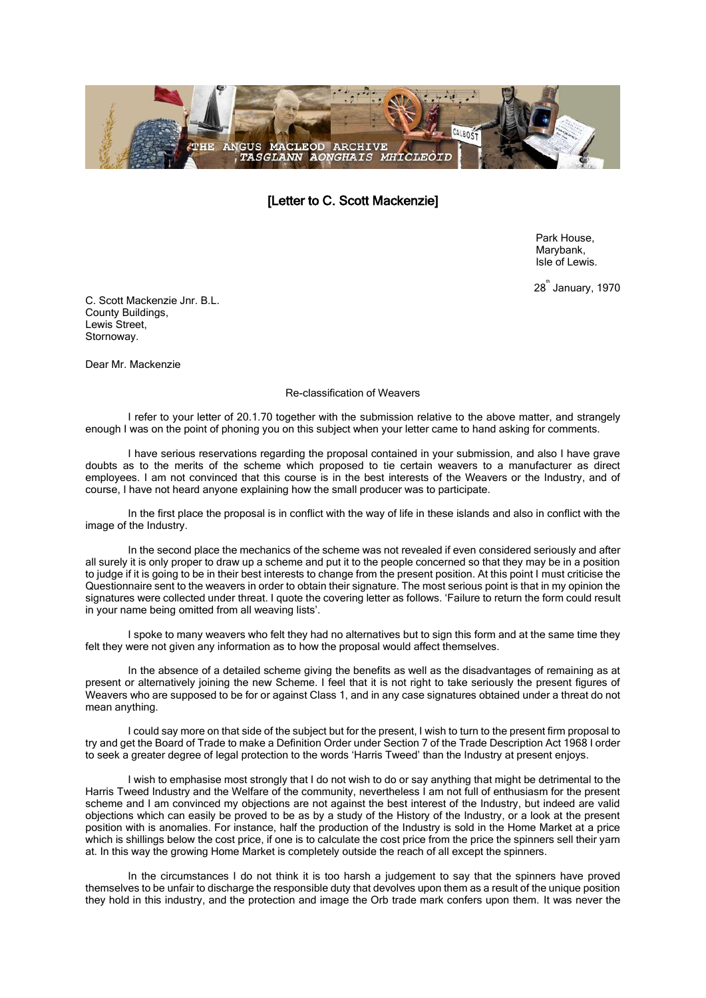

[Letter to C. Scott Mackenzie]

Park House, Marybank, Isle of Lewis.

28<sup>th</sup> January, 1970

C. Scott Mackenzie Jnr. B.L. County Buildings, Lewis Street, Stornoway.

Dear Mr. Mackenzie

## Re-classification of Weavers

I refer to your letter of 20.1.70 together with the submission relative to the above matter, and strangely enough I was on the point of phoning you on this subject when your letter came to hand asking for comments.

I have serious reservations regarding the proposal contained in your submission, and also I have grave doubts as to the merits of the scheme which proposed to tie certain weavers to a manufacturer as direct employees. I am not convinced that this course is in the best interests of the Weavers or the Industry, and of course, I have not heard anyone explaining how the small producer was to participate.

In the first place the proposal is in conflict with the way of life in these islands and also in conflict with the image of the Industry.

In the second place the mechanics of the scheme was not revealed if even considered seriously and after all surely it is only proper to draw up a scheme and put it to the people concerned so that they may be in a position to judge if it is going to be in their best interests to change from the present position. At this point I must criticise the Questionnaire sent to the weavers in order to obtain their signature. The most serious point is that in my opinion the signatures were collected under threat. I quote the covering letter as follows. 'Failure to return the form could result in your name being omitted from all weaving lists'.

I spoke to many weavers who felt they had no alternatives but to sign this form and at the same time they felt they were not given any information as to how the proposal would affect themselves.

In the absence of a detailed scheme giving the benefits as well as the disadvantages of remaining as at present or alternatively joining the new Scheme. I feel that it is not right to take seriously the present figures of Weavers who are supposed to be for or against Class 1, and in any case signatures obtained under a threat do not mean anything.

I could say more on that side of the subject but for the present, I wish to turn to the present firm proposal to try and get the Board of Trade to make a Definition Order under Section 7 of the Trade Description Act 1968 I order to seek a greater degree of legal protection to the words 'Harris Tweed' than the Industry at present enjoys.

I wish to emphasise most strongly that I do not wish to do or say anything that might be detrimental to the Harris Tweed Industry and the Welfare of the community, nevertheless I am not full of enthusiasm for the present scheme and I am convinced my objections are not against the best interest of the Industry, but indeed are valid objections which can easily be proved to be as by a study of the History of the Industry, or a look at the present position with is anomalies. For instance, half the production of the Industry is sold in the Home Market at a price which is shillings below the cost price, if one is to calculate the cost price from the price the spinners sell their yarn at. In this way the growing Home Market is completely outside the reach of all except the spinners.

In the circumstances I do not think it is too harsh a judgement to say that the spinners have proved themselves to be unfair to discharge the responsible duty that devolves upon them as a result of the unique position they hold in this industry, and the protection and image the Orb trade mark confers upon them. It was never the